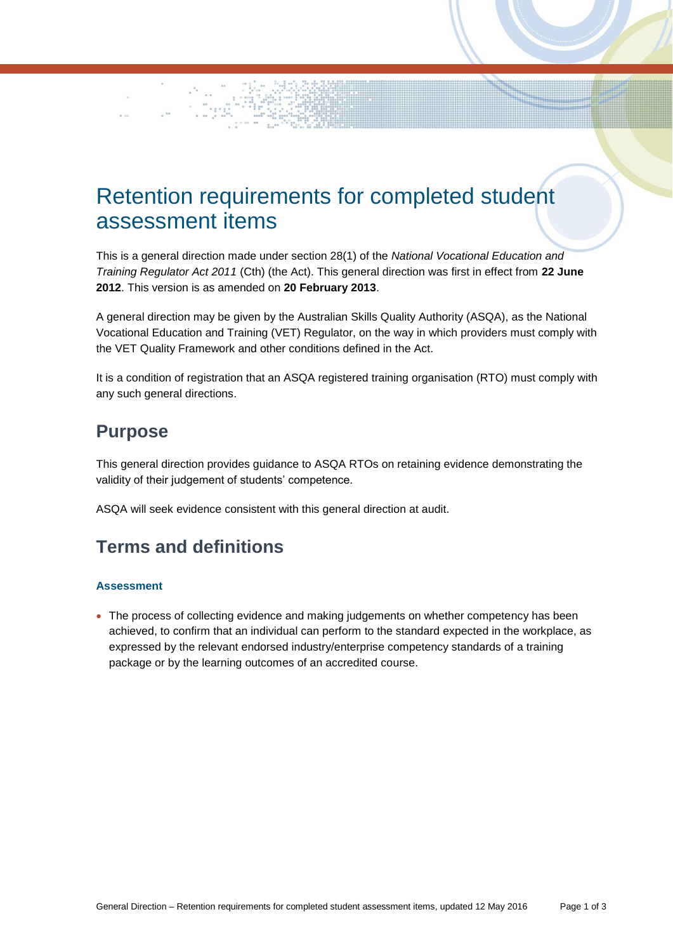# Retention requirements for completed student assessment items

This is a general direction made under section 28(1) of the *National Vocational Education and Training Regulator Act 2011* (Cth) (the Act). This general direction was first in effect from **22 June 2012**. This version is as amended on **20 February 2013**.

A general direction may be given by the Australian Skills Quality Authority (ASQA), as the National Vocational Education and Training (VET) Regulator, on the way in which providers must comply with the VET Quality Framework and other conditions defined in the Act.

It is a condition of registration that an ASQA registered training organisation (RTO) must comply with any such general directions.

## **Purpose**

This general direction provides guidance to ASQA RTOs on retaining evidence demonstrating the validity of their judgement of students' competence.

ASQA will seek evidence consistent with this general direction at audit.

## **Terms and definitions**

#### **Assessment**

• The process of collecting evidence and making judgements on whether competency has been achieved, to confirm that an individual can perform to the standard expected in the workplace, as expressed by the relevant endorsed industry/enterprise competency standards of a training package or by the learning outcomes of an accredited course.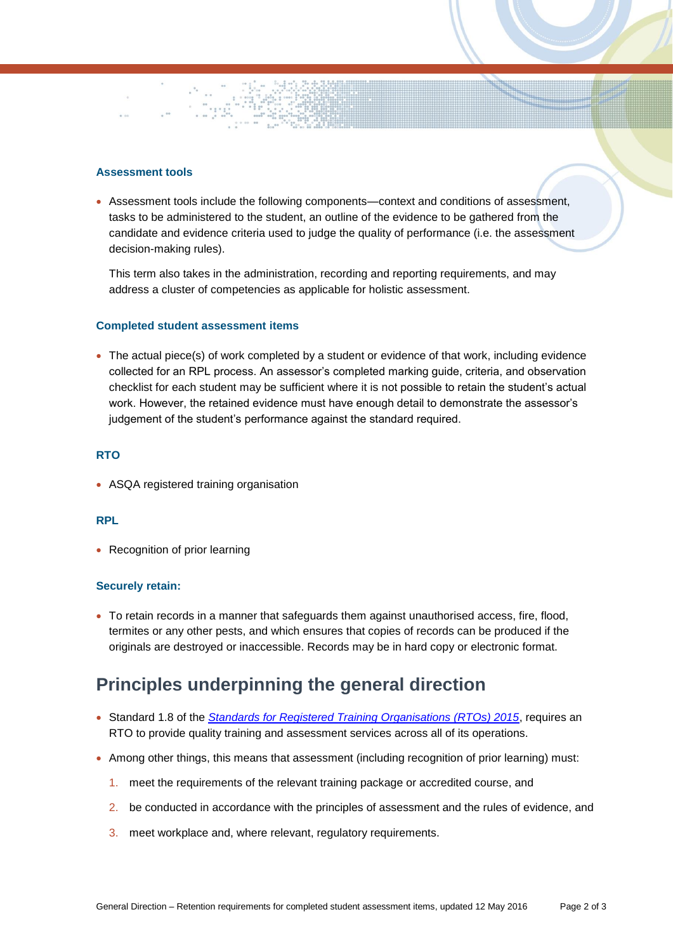#### **Assessment tools**

 Assessment tools include the following components—context and conditions of assessment, tasks to be administered to the student, an outline of the evidence to be gathered from the candidate and evidence criteria used to judge the quality of performance (i.e. the assessment decision-making rules).

This term also takes in the administration, recording and reporting requirements, and may address a cluster of competencies as applicable for holistic assessment.

#### **Completed student assessment items**

 The actual piece(s) of work completed by a student or evidence of that work, including evidence collected for an RPL process. An assessor's completed marking guide, criteria, and observation checklist for each student may be sufficient where it is not possible to retain the student's actual work. However, the retained evidence must have enough detail to demonstrate the assessor's judgement of the student's performance against the standard required.

#### **RTO**

• ASQA registered training organisation

#### **RPL**

• Recognition of prior learning

#### **Securely retain:**

 To retain records in a manner that safeguards them against unauthorised access, fire, flood, termites or any other pests, and which ensures that copies of records can be produced if the originals are destroyed or inaccessible. Records may be in hard copy or electronic format.

## **Principles underpinning the general direction**

- Standard 1.8 of the *[Standards for Registered Training Organisations \(RTOs\) 2015](https://www.legislation.gov.au/Details/F2014L01377)*, requires an RTO to provide quality training and assessment services across all of its operations.
- Among other things, this means that assessment (including recognition of prior learning) must:
	- 1. meet the requirements of the relevant training package or accredited course, and
	- 2. be conducted in accordance with the principles of assessment and the rules of evidence, and
	- 3. meet workplace and, where relevant, regulatory requirements.